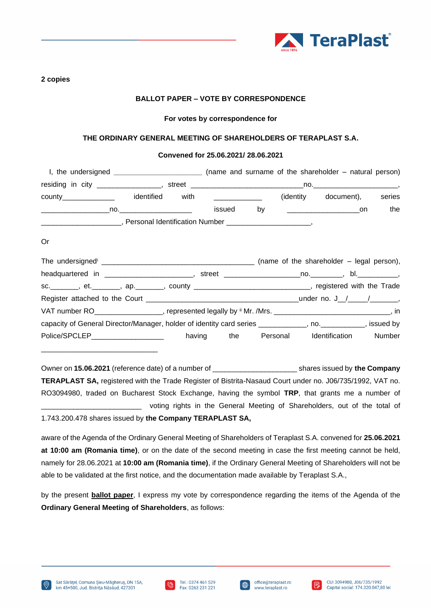

**2 copies** 

## **BALLOT PAPER – VOTE BY CORRESPONDENCE**

#### **For votes by correspondence for**

### **THE ORDINARY GENERAL MEETING OF SHAREHOLDERS OF TERAPLAST S.A.**

### **Convened for 25.06.2021/ 28.06.2021**

| I, the undersigned $\frac{1}{2}$ measurement is the understandance of $\frac{1}{2}$ measurement is the unit of the unit of the unit of the unit of the unit of the unit of the unit of the unit of the unit of the unit of the unit o   |                |      |                                      |    |                                                             | (name and surname of the shareholder – natural person) |        |
|-----------------------------------------------------------------------------------------------------------------------------------------------------------------------------------------------------------------------------------------|----------------|------|--------------------------------------|----|-------------------------------------------------------------|--------------------------------------------------------|--------|
| $residing$ in city $\frac{1}{2}$ manufactured in the contract of the contract of the contract of the contract of the contract of the contract of the contract of the contract of the contract of the contract of the contract of the co |                |      | street _____________________________ |    |                                                             |                                                        |        |
| county the country of the country of the country of the country of the country of the country of the country of the country of the country of the country of the country of the country of the country of the country of the c          | identified     | with |                                      |    | (identity)                                                  | document),                                             | series |
|                                                                                                                                                                                                                                         | $\mathsf{no.}$ |      | issued                               | by | the control of the control of the control of the control of | on on                                                  | the    |
|                                                                                                                                                                                                                                         |                |      | Personal Identification Number       |    |                                                             |                                                        |        |

Or

|                                                                                                              |        |     |          | (name of the shareholder – legal person), |                         |
|--------------------------------------------------------------------------------------------------------------|--------|-----|----------|-------------------------------------------|-------------------------|
|                                                                                                              |        |     |          |                                           |                         |
| sc. _________, et. ________, ap. _______, county ________________________________, registered with the Trade |        |     |          |                                           |                         |
|                                                                                                              |        |     |          |                                           | under no. J $/$ / $/$ , |
| VAT number RO__________________, represented legally by " Mr. /Mrs. _____________________________, in        |        |     |          |                                           |                         |
| capacity of General Director/Manager, holder of identity card series __________, no. _________, issued by    |        |     |          |                                           |                         |
| Police/SPCLEP__________________                                                                              | having | the | Personal | <b>Identification</b>                     | Number                  |

Owner on **15.06.2021** (reference date) of a number of \_\_\_\_\_\_\_\_\_\_\_\_\_\_\_\_\_\_\_\_\_ shares issued by **the Company TERAPLAST SA,** registered with the Trade Register of Bistrita-Nasaud Court under no. J06/735/1992, VAT no. RO3094980, traded on Bucharest Stock Exchange, having the symbol **TRP**, that grants me a number of voting rights in the General Meeting of Shareholders, out of the total of 1.743.200.478 shares issued by **the Company TERAPLAST SA,**

aware of the Agenda of the Ordinary General Meeting of Shareholders of Teraplast S.A. convened for **25.06.2021 at 10:00 am (Romania time)**, or on the date of the second meeting in case the first meeting cannot be held, namely for 28.06.2021 at **10:00 am (Romania time)**, if the Ordinary General Meeting of Shareholders will not be able to be validated at the first notice, and the documentation made available by Teraplast S.A.,

by the present **ballot paper**, I express my vote by correspondence regarding the items of the Agenda of the **Ordinary General Meeting of Shareholders**, as follows:

\_\_\_\_\_\_\_\_\_\_\_\_\_\_\_\_\_\_\_\_\_\_\_\_\_\_\_\_\_





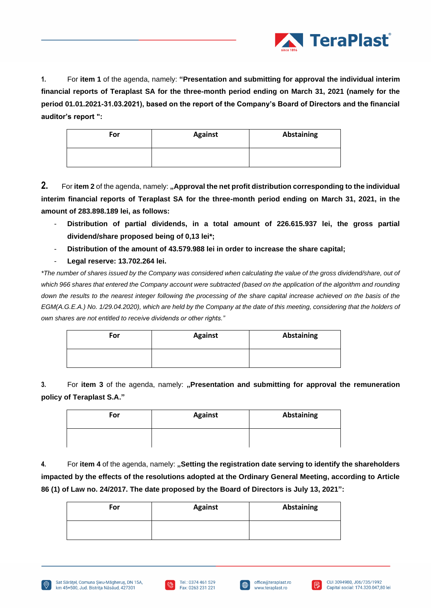

**1.** For **item 1** of the agenda, namely: **"Presentation and submitting for approval the individual interim financial reports of Teraplast SA for the three-month period ending on March 31, 2021 (namely for the period 01.01.2021-31.03.2021), based on the report of the Company's Board of Directors and the financial auditor's report ":**

| For | <b>Against</b> | <b>Abstaining</b> |
|-----|----------------|-------------------|
|     |                |                   |

**2.** For item 2 of the agenda, namely: "Approval the net profit distribution corresponding to the individual **interim financial reports of Teraplast SA for the three-month period ending on March 31, 2021, in the amount of 283.898.189 lei, as follows:**

- **Distribution of partial dividends, in a total amount of 226.615.937 lei, the gross partial dividend/share proposed being of 0,13 lei\*;**
- **Distribution of the amount of 43.579.988 lei in order to increase the share capital;**
- **Legal reserve: 13.702.264 lei.**

*\*The number of shares issued by the Company was considered when calculating the value of the gross dividend/share, out of*  which 966 shares that entered the Company account were subtracted (based on the application of the algorithm and rounding down the results to the nearest integer following the processing of the share capital increase achieved on the basis of the *EGM(A.G.E.A.) No. 1/29.04.2020), which are held by the Company at the date of this meeting, considering that the holders of own shares are not entitled to receive dividends or other rights."*

| For | <b>Against</b> | <b>Abstaining</b> |
|-----|----------------|-------------------|
|     |                |                   |

**3.** For **item 3** of the agenda, namely: **"Presentation and submitting for approval the remuneration policy of Teraplast S.A."**

| For | <b>Against</b> | Abstaining |
|-----|----------------|------------|
|     |                |            |

**4.** For **item 4** of the agenda, namely: **"Setting the registration date serving to identify the shareholders impacted by the effects of the resolutions adopted at the Ordinary General Meeting, according to Article 86 (1) of Law no. 24/2017. The date proposed by the Board of Directors is July 13, 2021":**

| For | <b>Against</b> | Abstaining |
|-----|----------------|------------|
|     |                |            |





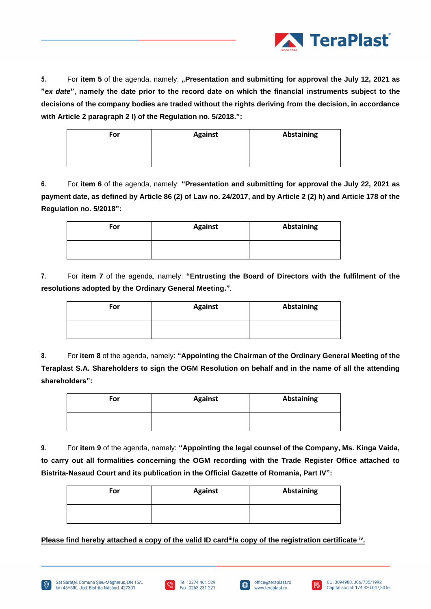

**5.** For item 5 of the agenda, namely: "Presentation and submitting for approval the July 12, 2021 as **"***ex date***", namely the date prior to the record date on which the financial instruments subject to the decisions of the company bodies are traded without the rights deriving from the decision, in accordance with Article 2 paragraph 2 l) of the Regulation no. 5/2018.":**

| For | <b>Against</b> | Abstaining |
|-----|----------------|------------|
|     |                |            |

**6.** For **item 6** of the agenda, namely: **"Presentation and submitting for approval the July 22, 2021 as payment date, as defined by Article 86 (2) of Law no. 24/2017, and by Article 2 (2) h) and Article 178 of the Regulation no. 5/2018":**

| For | <b>Against</b> | Abstaining |
|-----|----------------|------------|
|     |                |            |

**7.** For **item 7** of the agenda, namely: **"Entrusting the Board of Directors with the fulfilment of the resolutions adopted by the Ordinary General Meeting."***.*

| For | <b>Against</b> | <b>Abstaining</b> |
|-----|----------------|-------------------|
|     |                |                   |

**8.** For **item 8** of the agenda, namely: **"Appointing the Chairman of the Ordinary General Meeting of the Teraplast S.A. Shareholders to sign the OGM Resolution on behalf and in the name of all the attending shareholders":**

| For | <b>Against</b> | Abstaining |
|-----|----------------|------------|
|     |                |            |

**9.** For **item 9** of the agenda, namely: **"Appointing the legal counsel of the Company, Ms. Kinga Vaida, to carry out all formalities concerning the OGM recording with the Trade Register Office attached to Bistrita-Nasaud Court and its publication in the Official Gazette of Romania, Part IV":**

| For | <b>Against</b> | Abstaining |
|-----|----------------|------------|
|     |                |            |

**Please find hereby attached a copy of the valid ID card<sup>ii</sup>/a copy of the registration certificate <sup>iv</sup>.** 







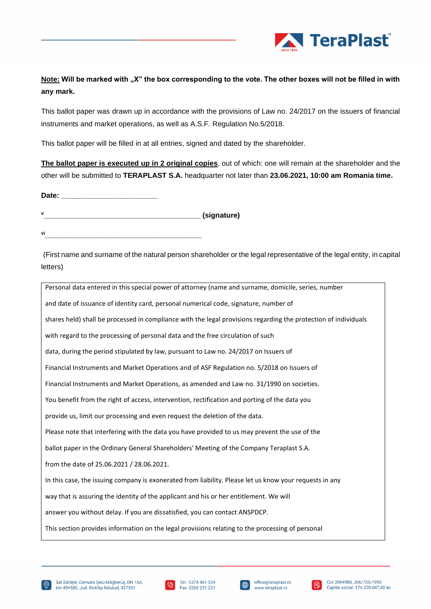

# **Note:** Will be marked with "X" the box corresponding to the vote. The other boxes will not be filled in with **any mark.**

This ballot paper was drawn up in accordance with the provisions of Law no. 24/2017 on the issuers of financial instruments and market operations, as well as A.S.F. Regulation No.5/2018.

This ballot paper will be filled in at all entries, signed and dated by the shareholder.

**The ballot paper is executed up in 2 original copies**, out of which: one will remain at the shareholder and the other will be submitted to **TERAPLAST S.A.** headquarter not later than **23.06.2021, 10:00 am Romania time.** 

Date: **<sup>v</sup>\_\_\_\_\_\_\_\_\_\_\_\_\_\_\_\_\_\_\_\_\_\_\_\_\_\_\_\_\_\_\_\_\_\_\_\_\_\_\_ (signature)**

**vi\_\_\_\_\_\_\_\_\_\_\_\_\_\_\_\_\_\_\_\_\_\_\_\_\_\_\_\_\_\_\_\_\_\_\_\_\_\_\_**

(First name and surname of the natural person shareholder or the legal representative of the legal entity, in capital letters)

| Personal data entered in this special power of attorney (name and surname, domicile, series, number             |
|-----------------------------------------------------------------------------------------------------------------|
| and date of issuance of identity card, personal numerical code, signature, number of                            |
| shares held) shall be processed in compliance with the legal provisions regarding the protection of individuals |
| with regard to the processing of personal data and the free circulation of such                                 |
| data, during the period stipulated by law, pursuant to Law no. 24/2017 on Issuers of                            |
| Financial Instruments and Market Operations and of ASF Regulation no. 5/2018 on Issuers of                      |
| Financial Instruments and Market Operations, as amended and Law no. 31/1990 on societies.                       |
| You benefit from the right of access, intervention, rectification and porting of the data you                   |
| provide us, limit our processing and even request the deletion of the data.                                     |
| Please note that interfering with the data you have provided to us may prevent the use of the                   |
| ballot paper in the Ordinary General Shareholders' Meeting of the Company Teraplast S.A.                        |
| from the date of 25.06.2021 / 28.06.2021.                                                                       |
| In this case, the issuing company is exonerated from liability. Please let us know your requests in any         |
| way that is assuring the identity of the applicant and his or her entitlement. We will                          |
| answer you without delay. If you are dissatisfied, you can contact ANSPDCP.                                     |
| This section provides information on the legal provisions relating to the processing of personal                |